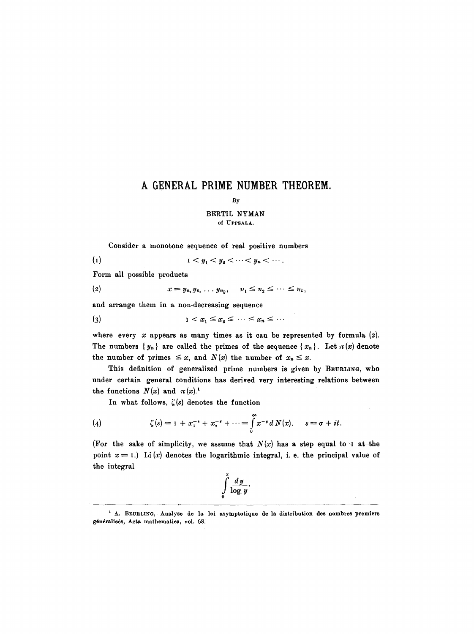# **A GENERAL PRIME NUMBER THEOREM.**

### By

#### BERTIL NYMAN of UPPSALA.

Consider a monotone sequence of real positive numbers

(1)  $1 < y_1 < y_2 < \cdots < y_n < \cdots$ 

Form all possible products

(2)  $x = y_{n_1} y_{n_2} \ldots y_{n_k}, \quad n_1 \leq n_2 \leq \cdots \leq n_k,$ 

and arrange them in a non-decreasing sequence

(3)  $x_1 < x_1 \le x_2 \le \cdots \le x_n \le \cdots$ 

where every  $x$  appears as many times as it can be represented by formula (2). The numbers  $\{y_n\}$  are called the primes of the sequence  $\{x_n\}$ . Let  $\pi(x)$  denote the number of primes  $\leq x$ , and  $N(x)$  the number of  $x_n \leq x$ .

This definition of generalized prime numbers is given by BEURLING, who uuder certain general conditions has derived very interesting relations between the functions  $N(x)$  and  $\pi(x)$ .

In what follows,  $\zeta(s)$  denotes the function

(4) 
$$
\zeta(s) = 1 + x_1^{-s} + x_2^{-s} + \cdots = \int_0^\infty x^{-s} dN(x), \quad s = \sigma + it.
$$

(For the sake of simplicity, we assume that  $N(x)$  has a step equal to  $\cdot$  at the point  $x=1$ .) Li  $(x)$  denotes the logarithmic integral, i. e. the principal value of the integral

$$
\int\limits_{0}^{x}\frac{dy}{\log y}.
$$

<sup>&</sup>lt;sup>1</sup> A. BEURLING, Analyse de la loi asymptotique de la distribution des nombres premiers généralisés, Acta mathematica, vol. 68.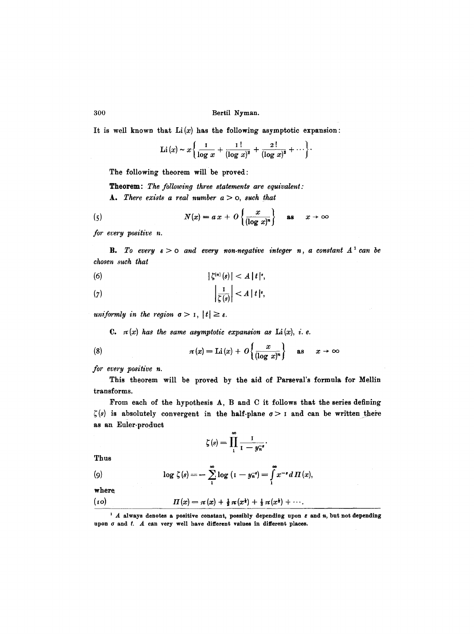It is well known that  $Li(x)$  has the following asymptotic expansion:

$$
\operatorname{Li}(x) \sim x \left\{ \frac{1}{\log x} + \frac{1}{(\log x)^2} + \frac{2!}{(\log x)^3} + \cdots \right\}.
$$

The following theorem will be proved:

**Theorem:** *The following three statements are equivalent:* 

*A. There exists a real number a > o, such that* 

(5) 
$$
N(x) = a x + O\left\{\frac{x}{(\log x)^n}\right\} \text{ as } x \to \infty
$$

*for every positive n.* 

**B.** To every  $\epsilon > 0$  and every non-negative integer n, a constant  $A^T$  can be *chosen such that* 

(6) 
$$
|\zeta^{(n)}(s)| < A |t|^{\epsilon},
$$
  
\n(7) 
$$
\left|\frac{1}{\zeta(s)}\right| < A |t|^{\epsilon},
$$

*uniformly in the region*  $\sigma > 1$ ,  $|t| \ge \epsilon$ .

**C.**  $\pi(x)$  has the same asymptotic expansion as  $\text{Li}(x)$ , i. e.

(8) 
$$
\pi(x) = \text{Li}(x) + O\left\{\frac{x}{(\log x)^n}\right\} \text{ as } x \to \infty
$$

*for every positive n.* 

This theorem will be proved by the aid of Parseval's formula for Mellin transforms.

From each of the hypothesis A, B and C it follows that the series defining  $\zeta(s)$  is absolutely convergent in the half-plane  $\sigma > r$  and can be written there as an Euier-product

$$
\zeta(s)=\prod_1^{\infty}\frac{1}{1-y_n^{-s}}.
$$

Thus

(9) 
$$
\log \zeta(s) = -\sum_{1}^{\infty} \log (1 - y_n^{-s}) = \int_{1}^{\infty} x^{-s} d \Pi(x),
$$

where

(~o) **~(x) = ~(x)§ ~(x\*) + ~ ~(xJ)§ ....** 

 $1$  A always denotes a positive constant, possibly depending upon  $\varepsilon$  and  $n$ , but not depending upon  $\sigma$  and  $t$ .  $A$  can very well have different values in different places.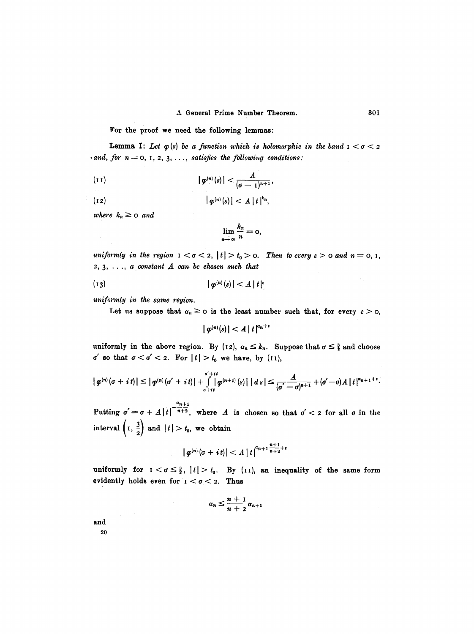For the proof we need the following lemmas:

**Lemma I:** Let  $\varphi(s)$  be a function which is holomorphic in the band  $1 < \sigma < 2$ *and, for*  $n = 0, 1, 2, 3, \ldots$ , satisfies the following conditions:

(11) 
$$
|\varphi^{(n)}(s)| < \frac{A}{(\sigma - 1)^{n+1}},
$$

(12) 
$$
|\varphi^{(n)}(s)| < A |t|^{k_n},
$$

*where*  $k_n \geq 0$  *and* 

$$
\lim_{n\to\infty}\frac{k_n}{n}=\mathbf{0},
$$

*uniformly in the region*  $1 < \sigma < 2$ ,  $|t| > t_0 > \sigma$ . Then to every  $\epsilon > \sigma$  and  $n = \sigma$ , i, *2, 3, ..., a constant A can be chosen such that* 

$$
|\mathbf{p}^{(n)}(s)| < A \mid t \mid^{\epsilon}
$$

*uniformly in the same region.* 

Let us suppose that  $\alpha_n \geq 0$  is the least number such that, for every  $\varepsilon > 0$ ,

$$
| \varphi^{(n)}(s) | < A | t |^{a_n+\varepsilon}
$$

uniformly in the above region. By (12),  $\alpha_n \leq k_n$ . Suppose that  $\sigma \leq \frac{3}{2}$  and choose  ${\sigma}'$  so that  ${\sigma} < {\sigma}' < 2$ . For  $|t| > t_0$  we have, by (II),

$$
| \varphi^{(n)}(\sigma + i t) | \leq | \varphi^{(n)}(\sigma' + i t) | + \int_{\sigma + i t}^{\sigma' + i t} | \varphi^{(n+1)}(s) | | ds | \leq \frac{A}{(\sigma' - \sigma)^{n+1}} + (\sigma' - \sigma)A | t |^{\alpha_{n+1} + \varepsilon}.
$$

 $a_{n+1}$ Putting  ${\sigma}' = {\sigma} + A |t|^{-n+2}$ , where A is chosen so that  ${\sigma}' < 2$  for all  ${\sigma}$  in the interval  $\left(1, \frac{3}{2}\right)$  and  $|t| > t_0$ , we obtain

$$
| \varphi^{(n)}(\sigma + it)| < A |t|^{a_{n+1}\frac{n+1}{n+2}+\varepsilon}
$$

uniformly for  $1 < \sigma \leq \frac{3}{2}$ ,  $|t| > t_0$ . By (11), an inequality of the same form evidently holds even for  $x < \sigma < 2$ . Thus

$$
\alpha_n\leq \frac{n+1}{n+2}\alpha_{n+1}
$$

**and** 

20

 $\mathcal{F}_{\mu}$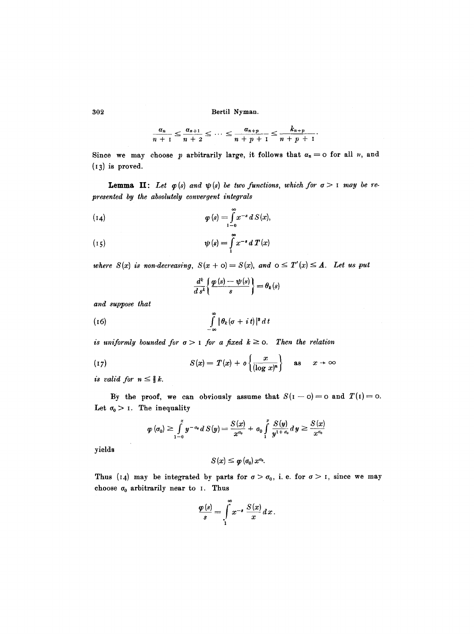$$
\frac{\alpha_n}{n+1} \leq \frac{\alpha_{n+1}}{n+2} \leq \cdots \leq \frac{\alpha_{n+p}}{n+p+1} \leq \frac{k_{n+p}}{n+p+1}.
$$

Since we may choose p arbitrarily large, it follows that  $a_n = o$  for all n, and (I3) is proved.

**Lemma II:** Let  $\varphi(s)$  and  $\psi(s)$  be two functions, which for  $\sigma > 1$  may be re*presented by the absolutely convergent integrals* 

(14) 
$$
\varphi(s) = \int_{1-0}^{\infty} x^{-s} dS(x),
$$

(15) 
$$
\psi(s) = \int_{1}^{\infty} x^{-s} dT(x)
$$

where  $S(x)$  is non-decreasing,  $S(x + o) = S(x)$ , and  $o \leq T'(x) \leq A$ . Let us put

$$
\frac{d^k}{ds^k}\bigg\{\frac{\varphi(s)-\psi(s)}{s}\bigg\}=\theta_k(s)
$$

*and suppose that* 

(16) 
$$
\int_{-\infty}^{\infty} |\theta_k(\sigma + i\,t)|^2 \, dt
$$

is uniformly bounded for  $\sigma > 1$  for a fixed  $k \geq 0$ . Then the relation

(17) 
$$
S(x) = T(x) + o\left\{\frac{x}{(\log x)^n}\right\} \text{ as } x \to \infty
$$

*is valid for*  $n \leq \frac{2}{3}k$ .

By the proof, we can obviously assume that  $S(1 - \circ) = \circ$  and  $T(1) = \circ$ . Let  $\sigma_0 >$  1. The inequality

$$
\varphi(\sigma_0) \geq \int_{1-0}^{x} y^{-\sigma_0} dS(y) = \frac{S(x)}{x^{\sigma_0}} + \sigma_0 \int_{1}^{x} \frac{S(y)}{y^{1+\sigma_0}} dy \geq \frac{S(x)}{x^{\sigma_0}}
$$

yields

$$
S(x) \leq \varphi\left(\sigma_0\right)x^{\sigma_0}.
$$

Thus (14) may be integrated by parts for  $\sigma > \sigma_0$ , i. e. for  $\sigma > 1$ , since we may choose  $\sigma_0$  arbitrarily near to I. Thus

$$
\frac{\varphi(s)}{s}=\int\limits_{1}^{\infty}x^{-s}\frac{S(x)}{x}dx.
$$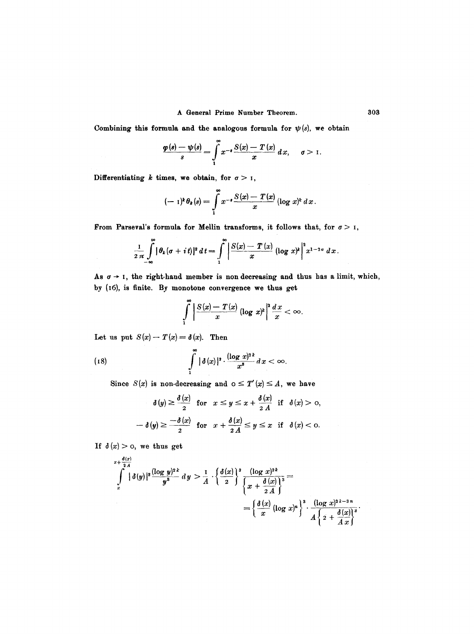## A General Prime Number Theorem. 303

Combining this formula and the analogous formula for  $\psi(s)$ , we obtain

$$
\frac{\varphi(s)-\psi(s)}{s}=\int\limits_{1}^{\infty}x^{-s}\frac{S(x)-T(x)}{x}\,dx,\quad \sigma>1.
$$

Differentiating k times, we obtain, for  $\sigma > 1$ ,

$$
(-1)^k \theta_k(s) = \int\limits_{1}^{\infty} x^{-s} \frac{S(x) - T(x)}{x} (\log x)^k dx.
$$

From Parseval's formula for Mellin transforms, it follows that, for  $\sigma > 1$ ,  $\mathbb{Z}$ 

$$
\frac{1}{2\pi}\int\limits_{-\infty}^{\infty}|\theta_k(\sigma+it)|^2\,dt=\int\limits_{1}^{\infty}\left|\frac{S(x)-T(x)}{x}\left(\log x\right)^k\right|^2x^{1-2\sigma}\,dx.
$$

As  $\sigma \rightarrow$  I, the right-hand member is non decreasing and thus has a limit, which, by (I6), is finite. By monotone convergence we thus get

$$
\int_{1}^{\infty}\left|\frac{S(x)-T(x)}{x}\left(\log x\right)^{k}\right|^2\frac{dx}{x}<\infty.
$$

Let us put  $S(x) - T(x) = \delta(x)$ . Then

 $\mathbb{R}^2$ 

(18) 
$$
\int_{1}^{\infty} |\delta(x)|^3 \cdot \frac{(\log x)^{2k}}{x^3} dx < \infty.
$$

Since  $S(x)$  is non-decreasing and  $0 \leq T'(x) \leq A$ , we have

$$
\delta(y) \ge \frac{\delta(x)}{2} \quad \text{for} \quad x \le y \le x + \frac{\delta(x)}{2A} \quad \text{if} \quad \delta(x) > 0,
$$
\n
$$
-\delta(y) \ge \frac{-\delta(x)}{2} \quad \text{for} \quad x + \frac{\delta(x)}{2A} \le y \le x \quad \text{if} \quad \delta(x) < 0.
$$

If  $d(x) > 0$ , we thus get

$$
\int_{x+\frac{\delta(x)}{2A}}^{x+\frac{\delta(x)}{2A}} |\delta(y)|^2 \frac{(\log y)^{2k}}{y^3} dy > \frac{1}{A} \cdot \left\{ \frac{\delta(x)}{2} \right\}^3 \frac{(\log x)^{2k}}{\left\{ x + \frac{\delta(x)}{2A} \right\}^3} =
$$

$$
= \left\{ \frac{\delta(x)}{x} (\log x)^n \right\}^3 \cdot \frac{(\log x)^{2k-3n}}{A \left\{ z + \frac{\delta(x)}{A x} \right\}^3}
$$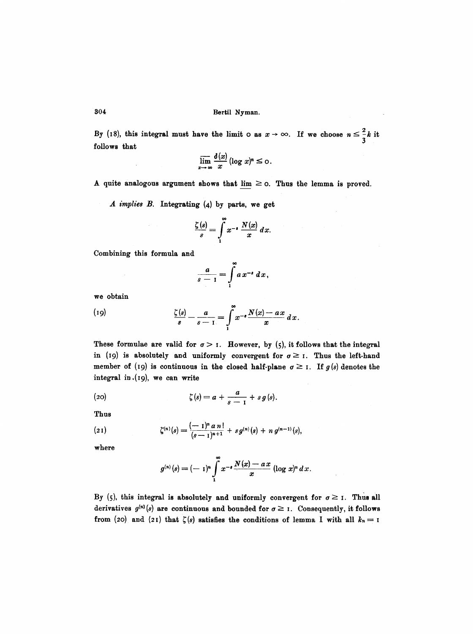By (18), this integral must have the limit o as  $x \to \infty$ . If we choose  $n \leq -k$  it follows that 3

$$
\overline{\lim_{x\to\infty}}\frac{\delta(x)}{x}(\log x)^n\leq 0.
$$

A quite analogous argument shows that  $\lim_{n \to \infty} \frac{1}{n}$  and  $\lim_{n \to \infty} \frac{1}{n}$  are lemma is proved.

*A implies B.* Integrating (4) by parts, we get

$$
\frac{\zeta(s)}{s} = \int\limits_{1}^{\infty} x^{-s} \frac{N(x)}{x} dx.
$$

Combining this formula and

$$
\frac{a}{s-1}=\int\limits_{1}^{\infty}a\,x^{-s}\,dx,
$$

we obtain

(19) 
$$
\frac{\zeta(s)}{s} - \frac{a}{s-1} = \int_{1}^{\infty} x^{-s} \frac{N(x) - ax}{x} dx.
$$

These formulae are valid for  $\sigma > 1$ . However, by (5), it follows that the integral in (19) is absolutely and uniformly convergent for  $\sigma \geq 1$ . Thus the left-hand member of (19) is continuous in the closed half-plane  $\sigma \geq 1$ . If  $g(s)$  denotes the integral in ,(19), we can write

(20) 
$$
\zeta(s) = a + \frac{a}{s-1} + s g(s).
$$

Thus

(21) 
$$
\zeta^{(n)}(s) = \frac{(-1)^n a n!}{(s-1)^{n+1}} + s g^{(n)}(s) + n g^{(n-1)}(s),
$$

where

$$
g^{(n)}(s) = (-1)^n \int_{1}^{\infty} x^{-s} \frac{N(x) - ax}{x} (\log x)^n dx.
$$

 $\Delta$ 

By (5), this integral is absolutely and uniformly convergent for  $\sigma \geq 1$ . Thus all derivatives  $g^{(n)}(s)$  are continuous and bounded for  $\sigma \geq 1$ . Consequently, it follows from (20) and (21) that  $\zeta(s)$  satisfies the conditions of lemma I with all  $k_n=1$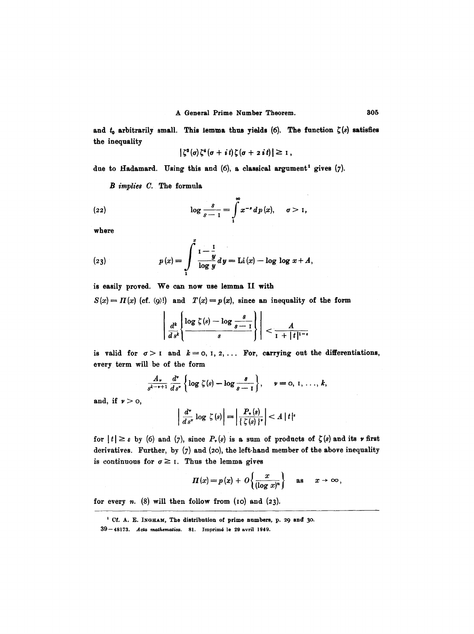and  $t_0$  arbitrarily small. This iemma thus yields (6). The function  $\zeta(s)$  satisfies the inequality

$$
|\zeta^{s}(\sigma)\zeta^{4}(\sigma + it)\zeta(\sigma + 2it)| \geq 1,
$$

due to Hadamard. Using this and  $(6)$ , a classical argument<sup>1</sup> gives  $(7)$ .

*B implies C.* The formula

(22) 
$$
\log \frac{s}{s-1} = \int_{1}^{\infty} x^{-s} dp(x), \quad \sigma > 1
$$

where

(23) 
$$
p(x) = \int_{1}^{x} \frac{1 - \frac{1}{y}}{\log y} dy = \text{Li}(x) - \log \log x + A,
$$

is easily proved. We can now use lemma II with

 $S(x) = \Pi(x)$  (cf. (9)!) and  $T(x) = p(x)$ , since an inequality of the form

$$
\left|\frac{d^k}{ds^k}\left\{\frac{\log \zeta(s)-\log \frac{s}{s-1}}{s}\right\}\right|<\frac{A}{1+|t|^{1-\epsilon}}
$$

is valid for  $\sigma > 1$  and  $k = 0, 1, 2, \ldots$  For, carrying out the differentiations, every term will be of the form

$$
\frac{A_{\nu}}{s^{k-\nu+1}}\frac{d^{\nu}}{ds^{\nu}}\left\{\log \zeta(s)-\log \frac{s}{s-\tau}\right\}, \quad \nu=0, 1, \ldots, k,
$$

and, if  $\nu > 0$ ,

$$
\left|\frac{d^*}{ds^*}\log \zeta(s)\right|=\left|\frac{P_*(s)}{\{\zeta(s)\}^*}\right|
$$

for  $|t| \geq \varepsilon$  by (6) and (7), since  $P_r(s)$  is a sum of products of  $\zeta(s)$  and its  $r$  first derivatives. Further, by (7) and (2o), the left-hand member of the above inequality is continuous for  $\sigma \geq 1$ . Thus the lemma gives

$$
\Pi(x) = p(x) + O\left\{\frac{x}{(\log x)^n}\right\} \text{ as } x \to \infty,
$$

for every  $n.$  (8) will then follow from (10) and (23).

 $^1$  Cf. A. E. INGHAM, The distribution of prime numbers, p. 29 and 30.

<sup>39-48173.</sup> Acta mathematica. 81. Imprimé le 29 avril 1949.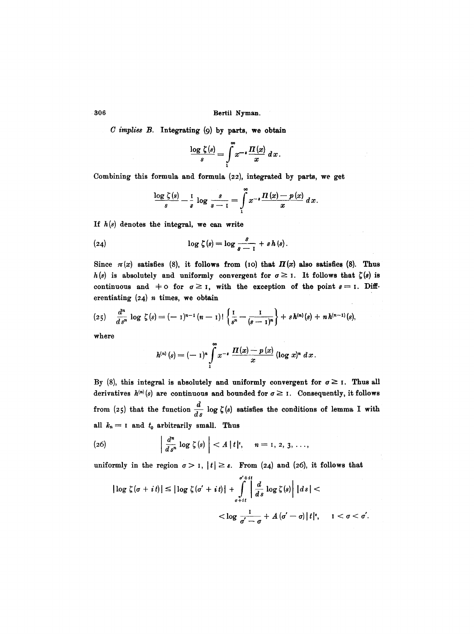*C* implies *B*. Integrating (9) by parts, we obtain

$$
\frac{\log \zeta(s)}{s} = \int\limits_{1}^{\infty} x^{-s} \frac{\Pi(x)}{x} \, dx.
$$

Combining this formula and formula (22), integrated by parts, we get

$$
\frac{\log \zeta(s)}{s} - \frac{1}{s} \log \frac{s}{s-1} = \int\limits_{1}^{\infty} x^{-s} \frac{\Pi(x) - p(x)}{x} dx.
$$

If  $h(s)$  denotes the integral, we can write

(24) 
$$
\log \zeta(s) = \log \frac{s}{s-1} + s h(s).
$$

Since  $\pi(x)$  satisfies (8), it follows from (10) that  $\mathbf{\Pi}(x)$  also satisfies (8). Thus  $h(s)$  is absolutely and uniformly convergent for  $\sigma \geq 1$ . It follows that  $\zeta(s)$  is continuous and  $+$  o for  $\sigma \geq 1$ , with the exception of the point  $s=1$ . Differentiating  $(24)$  *n* times, we obtain

$$
(25) \quad \frac{d^n}{ds^n} \log \zeta(s) = (-1)^{n-1} (n-1)! \left\{ \frac{1}{s^n} - \frac{1}{(s-1)^n} \right\} + s h^{(n)}(s) + n h^{(n-1)}(s),
$$

where

$$
h^{(n)}(s) = (-1)^n \int_{1}^{\infty} x^{-s} \frac{\Pi(x) - p(x)}{x} (\log x)^n dx.
$$

By (8), this integral is absolutely and uniformly convergent for  $\sigma \geq 1$ . Thus all derivatives  $h^{(n)}(s)$  are continuous and bounded for  $\sigma \geq 1$ . Consequently, it follows from (25) that the function  $\frac{d}{ds}$  log  $\zeta(s)$  satisfies the conditions of lemma I with all  $k_n = 1$  and  $t_0$  arbitrarily small. Thus

(26) 
$$
\left|\frac{d^n}{ds^n}\log\zeta(s)\right| < A |t|^{\epsilon}, \quad n = 1, 2, 3, \ldots,
$$

uniformly in the region  $\sigma > 1$ ,  $|t| \ge \varepsilon$ . From (24) and (26), it follows that

$$
\left|\log \zeta(\sigma+it)\right| \leq \left|\log \zeta(\sigma'+it)\right| + \int_{\sigma+it}^{\sigma'+it} \left|\frac{d}{ds}\log \zeta(s)\right| |ds| < \\qquad \qquad \leq \log \frac{1}{\sigma'-\sigma} + A(\sigma'-\sigma)|t|^{\epsilon}, \qquad 1 < \sigma < \sigma'.
$$